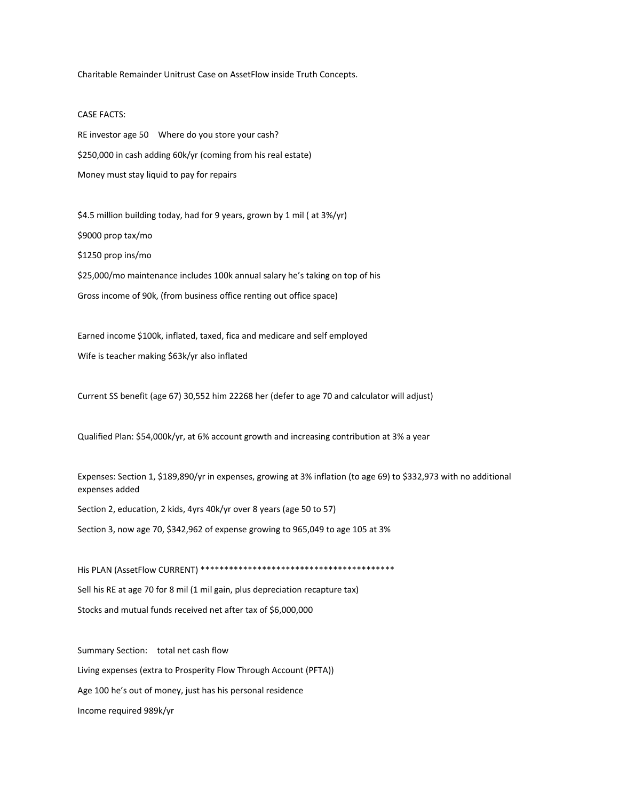Charitable Remainder Unitrust Case on AssetFlow inside Truth Concepts.

## CASE FACTS:

RE investor age 50 Where do you store your cash? \$250,000 in cash adding 60k/yr (coming from his real estate) Money must stay liquid to pay for repairs

\$4.5 million building today, had for 9 years, grown by 1 mil ( at 3%/yr) \$9000 prop tax/mo \$1250 prop ins/mo \$25,000/mo maintenance includes 100k annual salary he's taking on top of his Gross income of 90k, (from business office renting out office space)

Earned income \$100k, inflated, taxed, fica and medicare and self employed Wife is teacher making \$63k/yr also inflated

Current SS benefit (age 67) 30,552 him 22268 her (defer to age 70 and calculator will adjust)

Qualified Plan: \$54,000k/yr, at 6% account growth and increasing contribution at 3% a year

Expenses: Section 1, \$189,890/yr in expenses, growing at 3% inflation (to age 69) to \$332,973 with no additional expenses added

Section 2, education, 2 kids, 4yrs 40k/yr over 8 years (age 50 to 57)

Section 3, now age 70, \$342,962 of expense growing to 965,049 to age 105 at 3%

His PLAN (AssetFlow CURRENT) \*\*\*\*\*\*\*\*\*\*\*\*\*\*\*\*\*\*\*\*\*\*\*\*\*\*\*\*\*\*\*\*\*\*\*\*\*\*\*\*\* Sell his RE at age 70 for 8 mil (1 mil gain, plus depreciation recapture tax) Stocks and mutual funds received net after tax of \$6,000,000

Summary Section: total net cash flow Living expenses (extra to Prosperity Flow Through Account (PFTA)) Age 100 he's out of money, just has his personal residence Income required 989k/yr